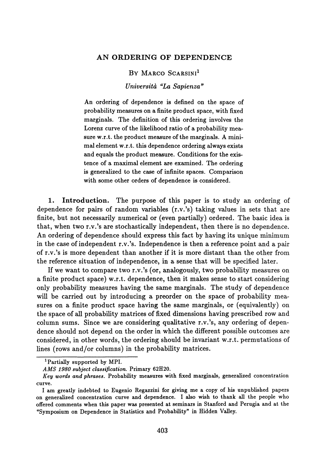## AN ORDERING OF DEPENDENCE

BY MARCO SCARSINI<sup>1</sup>

*Universitά "La Sapienza"*

An ordering of dependence is defined on the space of probability measures on a finite product space, with fixed marginals. The definition of this ordering involves the Lorenz curve of the likelihood ratio of a probability mea sure w.r.t. the product measure of the marginals. A mini mal element w.r.t. this dependence ordering always exists and equals the product measure. Conditions for the exis tence of a maximal element are examined. The ordering is generalized to the case of infinite spaces. Comparison with some other orders of dependence is considered.

1. Introduction. The purpose of this paper is to study an ordering of dependence for pairs of random variables (r.v.'s) taking values in sets that are finite, but not necessarily numerical or (even partially) ordered. The basic idea is that, when two r.v.'s are stochastically independent, then there is no dependence. An ordering of dependence should express this fact by having its unique minimum in the case of independent r.v.'s. Independence is then a reference point and a pair of r.v.'s is more dependent than another if it is more distant than the other from the reference situation of independence, in a sense that will be specified later.

If we want to compare two r.v.'s (or, analogously, two probability measures on a finite product space) w.r.t. dependence, then it makes sense to start considering only probability measures having the same marginals. The study of dependence will be carried out by introducing a preorder on the space of probability mea sures on a finite product space having the same marginals, or (equivalently) on the space of all probability matrices of fixed dimensions having prescribed row and column sums. Since we are considering qualitative r.v.'s, any ordering of depen dence should not depend on the order in which the different possible outcomes are considered, in other words, the ordering should be invariant w.r.t. permutations of lines (rows and/or columns) in the probability matrices.

**<sup>1</sup> Partially supported by MPI.**

*AMS 1980 subject classification.* **Primary 62H20.**

*Key words and phrases.* **Probability measures with fixed marginals, generalized concentration curve.**

**I am greatly indebted to Eugenio Regazzini for giving me a copy of his unpublished papers on generalized concentration curve and dependence. I also wish to thank all the people who offered comments when this paper was presented at seminars in Stanford and Perugia and at the "Symposium on Dependence in Statistics and Probability" in Hidden Valley.**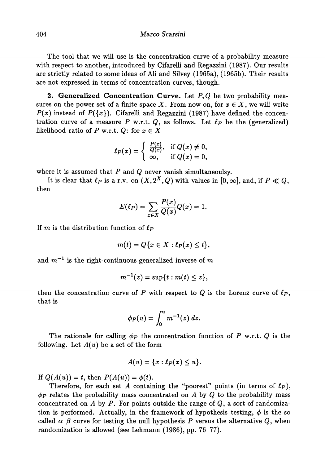The tool that we will use is the concentration curve of a probability measure with respect to another, introduced by Cifarelli and Regazzini (1987). Our results are strictly related to some ideas of Ali and Silvey (1965a), (1965b). Their results are not expressed in terms of concentration curves, though.

**2. Generalized Concentration Curve.** Let P, Q be two probability measures on the power set of a finite space X. From now on, for  $x \in X$ , we will write  $P(x)$  instead of  $P({x})$ . Cifarelli and Regazzini (1987) have defined the concentration curve of a measure  $P$  w.r.t.  $Q$ , as follows. Let  $\ell_P$  be the (generalized) likelihood ratio of *P* w.r.t. *Q*: for  $x \in X$ 

$$
\ell_P(x)=\left\{\begin{array}{ll} \frac{P(x)}{Q(x)}, & \text{if } Q(x)\neq 0,\\ \infty, & \text{if } Q(x)=0,\end{array}\right.
$$

where it is assumed that *P* and *Q* never vanish simultaneoulsy.

It is clear that  $\ell_P$  is a r.v. on  $(X, 2^X, Q)$  with values in  $[0, \infty]$ , and, if  $P \ll Q$ , then

$$
E(\ell_P) = \sum_{x \in X} \frac{P(x)}{Q(x)} Q(x) = 1
$$

If *m* is the distribution function of *ίp*

$$
m(t) = Q\{x \in X : \ell_P(x) \leq t\},\
$$

and *mΓ 1* is the right-continuous generalized inverse of *m*

$$
m^{-1}(z)=\sup\{t:m(t)\leq z\},\,
$$

then the concentration curve of P with respect to  $Q$  is the Lorenz curve of  $\ell_P$ , that is

$$
\phi_P(u)=\int_0^u m^{-1}(z)\ dz.
$$

The rationale for calling *φp* the concentration function of P w.r.t. *Q* is the following. Let *A(u)* be a set of the form

$$
A(u)=\{x:\ell_P(x)\leq u\}.
$$

If  $Q(A(u)) = t$ , then  $P(A(u)) = \phi(t)$ .

Therefore, for each set A containing the "poorest" points (in terms of  $\ell_P$ ), *φp* relates the probability mass concentrated on *A* by *Q* to the probability mass concentrated on  $A$  by  $P$ . For points outside the range of  $Q$ , a sort of randomization is performed. Actually, in the framework of hypothesis testing,  $\phi$  is the so called  $\alpha-\beta$  curve for testing the null hypothesis P versus the alternative Q, when randomization is allowed (see Lehmann (1986), pp. 76-77).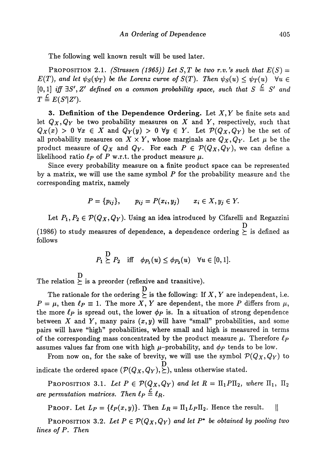The following well known result will be used later.

PROPOSITION 2.1. *(Strassen (1965)) Let S,T be two r.v.'s such that*  $E(S)$  =  $E(T),$  and let  $\psi_S(\psi_T)$  be the Lorenz curve of  $S(T).$  Then  $\psi_S(u) \leq \psi_T(u) \quad \forall u \in T$  $[0,1]$  iff  $\exists S', Z'$  defined on a common probability space, such that  $S \triangleq S'$  and  $T \stackrel{\mathcal{L}}{=} E(S'|Z').$ 

**3. Definition of the Dependence Ordering.** Let  $X, Y$  be finite sets and let  $Q_X, Q_Y$  be two probability measures on X and Y, respectively, such that  $Q_X(x) > 0$   $\forall x \in X$  and  $Q_Y(y) > 0$   $\forall y \in Y$ . Let  $\mathcal{P}(Q_X, Q_Y)$  be the set of all probability measures on  $X \times Y$ , whose marginals are  $Q_X, Q_Y$ . Let  $\mu$  be the product measure of  $Q_X$  and  $Q_Y$ . For each  $P \in \mathcal{P}(Q_X, Q_Y)$ , we can define a likelihood ratio  $\ell_P$  of P w.r.t. the product measure  $\mu$ .

Since every probability measure on a finite product space can be represented by a matrix, we will use the same symbol  $P$  for the probability measure and the corresponding matrix, namely

$$
P = \{p_{ij}\}, \qquad p_{ij} = P(x_i, y_j) \qquad x_i \in X, y_j \in Y.
$$

Let  $P_1, P_2 \in \mathcal{P}(Q_X, Q_Y)$ . Using an idea introduced by Cifarelli and Regazzini D (1986) to study measures of dependence, a dependence ordering *y* is defined as follows

$$
P_1 \succeq P_2
$$
 iff  $\phi_{P_1}(u) \leq \phi_{P_2}(u)$   $\forall u \in [0,1].$ 

D The relation  $\geq$  is a preorder (reflexive and transitive).

The rationale for the ordering  $\Sigma$  is the following: If X, Y are independent, i.e.  $P = \mu$ , then  $\ell_P \equiv 1$ . The more X, Y are dependent, the more P differs from  $\mu$ , the more  $\ell_p$  is spread out, the lower  $\phi_p$  is. In a situation of strong dependence between  $X$  and  $Y$ , many pairs  $(x, y)$  will have "small" probabilities, and some pairs will have "high" probabilities, where small and high is measured in terms of the corresponding mass concentrated by the product measure μ. Therefore *ίp* assumes values far from one with high  $\mu$ -probability, and  $\phi_P$  tends to be low.

From now on, for the sake of brevity, we will use the symbol  $\mathcal{P}(Q_X, Q_Y)$  to  $\rm \dot{D}$ indicate the ordered space  $(V(QX, QY), \subseteq)$ , unless otherwise stated.

PROPOSITION 3.1. Let  $P \in \mathcal{P}(Q_X, Q_Y)$  and let  $R = \Pi_1 P \Pi_2$ , where  $\Pi_1, \ \Pi_2$ *are permutation matrices. Then*  $\ell_P \stackrel{\mathcal{L}}{=} \ell_R$ .

PROOF. Let  $L_P = \{ \ell_P(x, y) \}.$  Then  $L_R = \Pi_1 L_P \Pi_2.$  Hence the result.  $||$ 

PROPOSITION 3.2. Let  $P \in \mathcal{P}(Q_X, Q_Y)$  and let  $P^*$  be obtained by pooling two *lines of* P. *Then*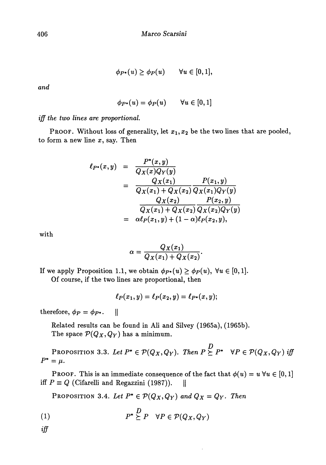$$
\phi_{P^*}(u) \ge \phi_P(u) \qquad \forall u \in [0,1],
$$

*and*

$$
\phi_{P^*}(u) = \phi_P(u) \qquad \forall u \in [0,1]
$$

*iff the two lines are proportional.*

PROOF. Without loss of generality, let  $x_1, x_2$  be the two lines that are pooled, to form a new line  $x$ , say. Then

$$
\ell_{P^*}(x,y) = \frac{P^*(x,y)}{Q_X(x)Q_Y(y)} \n= \frac{Q_X(x_1)}{Q_X(x_1) + Q_X(x_2)} \frac{P(x_1,y)}{Q_X(x_1)Q_Y(y)} \n= \frac{Q_X(x_2)}{Q_X(x_1) + Q_X(x_2)} \frac{P(x_2,y)}{Q_X(x_2)Q_Y(y)} \n= \alpha \ell_P(x_1,y) + (1-\alpha)\ell_P(x_2,y),
$$

with

$$
\alpha = \frac{Q_X(x_1)}{Q_X(x_1) + Q_X(x_2)}.
$$

If we apply Proposition 1.1, we obtain  $\phi_{P^*}(u) \geq \phi_P(u)$ ,  $\forall u \in [0,1]$ . Of course, if the two lines are proportional, then

$$
\ell_P(x_1,y)=\ell_P(x_2,y)=\ell_{P^*}(x,y);
$$

therefore,  $\phi_P = \phi_{P^*}$ .

Related results can be found in Ali and Silvey (1965a), (1965b). The space  $\mathcal{P}(Q_X, Q_Y)$  has a minimum.

 $P$ roposition 3.3. *Let*  $P^* \in \mathcal{P}(Q_X, Q_Y)$ *. Then*  $P \succeq P^* \quad \forall P \in \mathcal{P}(Q_X, Q_Y)$  *if*  $P^* = \mu$ .

**PROOF.** This is an immediate consequence of the fact that  $\phi(u) = u \,\forall u \in [0,1]$ iff  $P \equiv Q$  (Cifarelli and Regazzini (1987)). ||

**PROPOSITION 3.4.** Let  $P^* \in \mathcal{P}(Q_X, Q_Y)$  and  $Q_X = Q_Y$ . Then

(1) 
$$
P^* \succeq P \quad \forall P \in \mathcal{P}(Q_X, Q_Y)
$$

*iff*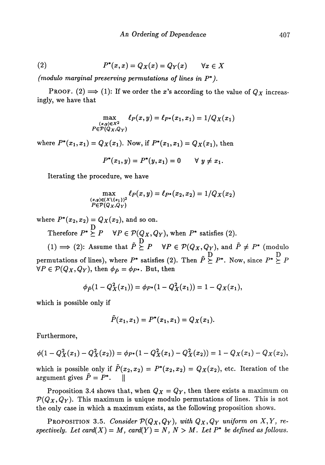(2) 
$$
P^*(x,x) = Q_X(x) = Q_Y(x) \quad \forall x \in X
$$

*(modulo marginal preserving permutations of lines in P\*).*

PROOF. (2)  $\implies$  (1): If we order the x's according to the value of  $Q_X$  increasingly, we have that

$$
\max_{\substack{(x,y)\in X^2\\P\in \mathcal{P}(Q_X,Q_Y)}} \ell_P(x,y) = \ell_{P^*}(x_1,x_1) = 1/Q_X(x_1)
$$

where  $P^*(x_1, x_1) = Q_X(x_1)$ . Now, if  $P^*(x_1, x_1) = Q_X(x_1)$ , then

$$
P^*(x_1, y) = P^*(y, x_1) = 0 \quad \forall y \neq x_1.
$$

Iterating the procedure, we have

$$
\max_{\substack{(x,y)\in (X\setminus\{x_1\})^2\\P\in \mathcal{P}(Q_X,Q_Y)}} \ell_P(x,y) = \ell_{P^*}(x_2,x_2) = 1/Q_X(x_2)
$$

where  $P^*(x_2, x_2) = Q_X(x_2)$ , and so on.

Therefore  $P^* \overset{\text{D}}{\succeq} P \quad \forall P \in \mathcal{P}(Q_X, Q_Y),$  when  $P^*$  satisfies (2).

 $\tilde{p}$ (1)  $\implies$  (2): Assume that  $P \ge P$   $\forall P \in \mathcal{P}(Q_X, Q_Y)$ , and  $P \ne P^*$  (modulo permutations of lines), where  $P^*$  satisfies (2). Then  $\tilde{P} \ge P^*$ . Now, since  $P^* \ge P$  $\forall P \in \mathcal{P}(Q_X, Q_Y)$ , then  $\phi_{\tilde{P}} = \phi_{P^*}$ . But, then  $\mathcal{V} = \left(\sqrt{2} \sqrt{2} \right)$ ,  $\mathcal{V} = \left(\sqrt{2} \right)$ 

$$
\phi_{\tilde{P}}(1-Q_X^2(x_1))=\phi_{P^*}(1-Q_X^2(x_1))=1-Q_X(x_1),
$$

which is possible only if

$$
\tilde{P}(x_1,x_1)=P^*(x_1,x_1)=Q_X(x_1).
$$

Furthermore,

$$
\phi(1-Q_X^2(x_1)-Q_X^2(x_2))=\phi_{P^*}(1-Q_X^2(x_1)-Q_X^2(x_2))=1-Q_X(x_1)-Q_X(x_2),
$$

which is possible only if  $\tilde{P}(x_2, x_2) = P^*(x_2, x_2) = Q_X(x_2)$ , etc. Iteration of the  $\text{argument gives }\tilde{P}=P^*. \quad \text{ }\text{ }\text{ }\text{ }\mid \text{ }$ 

Proposition 3.4 shows that, when  $Q_X = Q_Y$ , then there exists a maximum on  $\mathcal{P}(Q_X, Q_Y)$ . This maximum is unique modulo permutations of lines. This is not the only case in which a maximum exists, as the following proposition shows.

PROPOSITION 3.5. Consider  $\mathcal{P}(Q_X, Q_Y)$ , with  $Q_X, Q_Y$  uniform on  $X, Y$ , respectively. Let card(X) = M, card(Y) = N, N > M. Let  $P^*$  be defined as follows.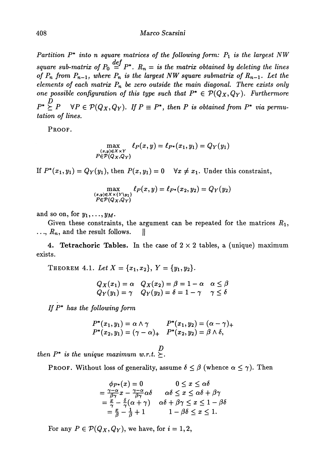*Partition* P\* *into n square matrices of the following form: P\ is the largest NW square sub-matrix of*  $P_0 \stackrel{def}{=} P^*$ .  $R_n =$  is the matrix obtained by deleting the lines *of*  $P_n$  from  $P_{n-1}$ , where  $P_n$  is the largest NW square submatrix of  $R_{n-1}$ . Let the *elements of each matrix P<sup>n</sup> be zero outside the main diagonal. There exists only one possible configuration of this type such that*  $P^* \in \mathcal{P}(Q_X, Q_Y)$ . Furthermore *D*  $P^P(X, Y)$ . If  $P^P(Y, Y, Y)$  if  $P^P(Y, Y)$  is obtained from P<sup>\*</sup> via permu*tation of lines.*

PROOF.

$$
\max_{\substack{(x,y)\in X\times Y\\P\in \mathcal{P}(Q_X,Q_Y)}} \ell_P(x,y) = \ell_{P^*}(x_1,y_1) = Q_Y(y_1)
$$

If  $P^*(x_1,y_1) = Q_Y(y_1)$ , then  $P(x,y_1) = 0 \quad \forall x \neq x_1$ . Under this constraint,

$$
\max_{\substack{(x,y)\in X\times\{Y\}\y_1\} \\ P\in \mathcal{P}(Q_X,Q_Y)}} \ell_P(x,y) = \ell_{P^*}(x_2,y_2) = Q_Y(y_2)
$$

and so on, for  $y_1, \ldots, y_M$ .

Given these constraints, the argument can be repeated for the matrices  $R_1$ ,  $\ldots, R_n$ , and the result follows.  $\parallel$ 

**4. Tetrachoric Tables.** In the case of  $2 \times 2$  tables, a (unique) maximum exists.

THEOREM 4.1.  $Let X = \{x_1, x_2\}, Y = \{y_1, y_2\}$ 

$$
Q_X(x_1) = \alpha \quad Q_X(x_2) = \beta = 1 - \alpha \quad \alpha \leq \beta
$$
  
 
$$
Q_Y(y_1) = \gamma \quad Q_Y(y_2) = \delta = 1 - \gamma \quad \gamma \leq \delta
$$

*If P\* has the following form*

$$
P^*(x_1, y_1) = \alpha \wedge \gamma \qquad P^*(x_1, y_2) = (\alpha - \gamma)_+ P^*(x_2, y_1) = (\gamma - \alpha)_+ \qquad P^*(x_2, y_2) = \beta \wedge \delta,
$$

*D*  $then P^*$  is the unique maximum w.r.t.  $\succeq$ .

PROOF. Without loss of generality, assume  $\delta \leq \beta$  (whence  $\alpha \leq \gamma$ ). Then

$$
\begin{array}{ll}\n\phi_{P^*}(x) = 0 & 0 \leq x \leq \alpha \delta \\
= \frac{\gamma - \alpha}{\beta \gamma} x - \frac{\gamma - \alpha}{\beta \gamma} \alpha \delta & \alpha \delta \leq x \leq \alpha \delta + \beta \gamma \\
= \frac{x}{\gamma} - \frac{\delta}{\gamma} (\alpha + \gamma) & \alpha \delta + \beta \gamma \leq x \leq 1 - \beta \delta \\
= \frac{x}{\beta} - \frac{1}{\beta} + 1 & 1 - \beta \delta \leq x \leq 1.\n\end{array}
$$

For any  $P \in \mathcal{P}(Q_X, Q_Y)$ , we have, for  $i = 1, 2$ ,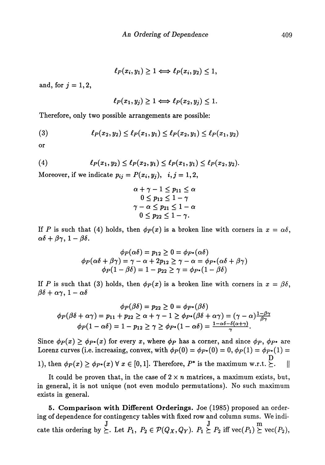$\ell_P(x_i, y_1) \geq 1 \Longleftrightarrow \ell_P(x_i, y_2) \leq 1,$ 

and, for  $j = 1, 2$ ,

$$
\ell_P(x_1, y_j) \geq 1 \Longleftrightarrow \ell_P(x_2, y_j) \leq 1.
$$

Therefore, only two possible arrangements are possible:

(3) 
$$
\ell_P(x_2,y_2) \leq \ell_P(x_1,y_1) \leq \ell_P(x_2,y_1) \leq \ell_P(x_1,y_2)
$$

or

(4) 
$$
\ell_P(x_1,y_2) \leq \ell_P(x_2,y_1) \leq \ell_P(x_1,y_1) \leq \ell_P(x_2,y_2).
$$

Moreover, if we indicate  $p_{ij} = P(x_i, y_j), i, j = 1, 2,$ 

$$
\begin{aligned} &\alpha+\gamma-1\leq p_{11}\leq \alpha\\ &\quad 0\leq p_{12}\leq 1-\gamma\\ &\gamma-\alpha\leq p_{21}\leq 1-\alpha\\ &\quad 0\leq p_{22}\leq 1-\gamma.\end{aligned}
$$

If *P* is such that (4) holds, then  $\phi_P(x)$  is a broken line with corners in  $x = \alpha \delta$ ,  $\alpha\delta + \beta\gamma$ , 1 –  $\beta\delta$ .

$$
\phi_P(\alpha\delta) = p_{12} \ge 0 = \phi_{P^*}(\alpha\delta)
$$
  

$$
\phi_P(\alpha\delta + \beta\gamma) = \gamma - \alpha + 2p_{12} \ge \gamma - \alpha = \phi_{P^*}(\alpha\delta + \beta\gamma)
$$
  

$$
\phi_P(1 - \beta\delta) = 1 - p_{22} \ge \gamma = \phi_{P^*}(1 - \beta\delta)
$$

If P is such that (3) holds, then  $\phi_P(x)$  is a broken line with corners in  $x = \beta \delta$ ,  $βδ + αγ, 1 - αδ$ 

$$
\phi_P(\beta \delta) = p_{22} \ge 0 = \phi_{P^*}(\beta \delta)
$$
  

$$
\phi_P(\beta \delta + \alpha \gamma) = p_{11} + p_{22} \ge \alpha + \gamma - 1 \ge \phi_{P^*}(\beta \delta + \alpha \gamma) = (\gamma - \alpha) \frac{1 - \beta \gamma}{\beta \gamma}
$$
  

$$
\phi_P(1 - \alpha \delta) = 1 - p_{12} \ge \gamma \ge \phi_{P^*}(1 - \alpha \delta) = \frac{1 - \alpha \delta - \delta(\alpha + \gamma)}{\gamma}.
$$

Since  $\phi_P(x) \ge \phi_{P^*}(x)$  for every x, where  $\phi_P$  has a corner, and since  $\phi_P$ ,  $\phi_{P^*}$  are Lorenz curves (i.e. increasing, convex, with  $\phi_P(0) = \phi_{P^*}(0) = 0$ ,  $\phi_P(1) = \phi_{P^*}(1) = 0$  $\mathbf{p}$ 1), then  $\varphi P(x) \leq \varphi P^*(x)$  v  $x \in [0,1]$ . Therefore, P\* is the maximum w.r.t.  $\subset$ .

It could be proven that, in the case of  $2 \times n$  matrices, a maximum exists, but, in general, it is not unique (not even modulo permutations). No such maximum exists in general.

5. Comparison with Different Orderings. Joe (1985) proposed an ordering of dependence for contingency tables with fixed row and column sums. We indi  $J_{\text{tot}}$   $D_{\text{tot}}$   $D_{\text{tot}}$   $D_{\text{tot}}$   $D_{\text{tot}}$   $D_{\text{tot}}$   $D_{\text{tot}}$ cate this ordering by  $\subseteq$ . Let  $P_1$ ,  $P_2 \in P(QX, QY)$ .  $P_1 \subseteq P_2$  in  $\text{vec}(P_1) \subseteq \text{vec}(P_2)$ ,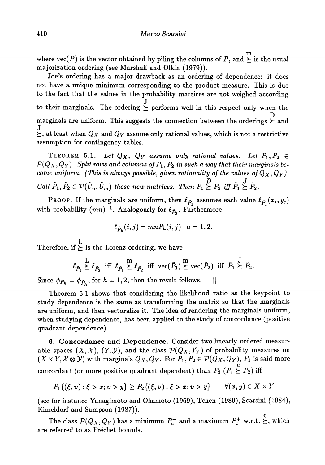where  $\text{vec}(P)$  is the vector obtained by piling the columns of  $P,$  and  $\succeq$  is the usual majorization ordering (see Marshall and Olkin (1979)).

Joe's ordering has a major drawback as an ordering of dependence: it does not have a unique minimum corresponding to the product measure. This is due to the fact that the values in the probability matrices are not weighed according to their marginals. The ordering  $\stackrel{J}{\succeq}$  performs well in this respect only when the  $\mathbf{p}$ marginals are uniform. This suggests the connection between the orderings  $\succeq$  and<br>T  $\succeq$ , at least when  $Q_X$  and  $Q_Y$  assume only rational values, which is not a restrictive<br>assumption for contingency tables assumption for contingency tables.

THEOREM 5.1. Let  $Q_X$ ,  $Q_Y$  assume only rational values. Let  $P_1, P_2 \in$  $\mathcal{P}(Q_X, Q_Y)$ . Split rows and columns of  $P_1, P_2$  in such a way that their marginals be*come uniform. (This is always possible, given rationality of the values of* $Q_X, Q_Y$ ).  $\tilde{p}$   $\tilde{p}$   $\tilde{p}$   $\tilde{p}$   $\tilde{p}$   $\tilde{p}$   $\tilde{p}$   $\tilde{p}$   $\tilde{p}$   $\tilde{p}$   $\tilde{p}$   $\tilde{p}$   $\tilde{p}$   $\tilde{p}$   $\tilde{p}$   $\tilde{p}$   $\tilde{p}$   $\tilde{p}$   $\tilde{p}$   $\tilde{p}$   $\tilde{p}$   $\tilde{p}$   $\tilde{p}$   $\tilde{p}$   $\tilde{$ *Call*  $P_1, P_2 \in V(U_n, U_m)$  these new matrices. Then  $P_1 \subseteq P_2$  if  $P_1 \subseteq P_2$ .

PROOF. If the marginals are uniform, then  $\ell_{\tilde{P}_1}$  assumes each value  $\ell_{\tilde{P}_1}(x_i, y_j)$ with probability  $(mn)^{-1}$ . Analogously for  $\ell_{\tilde{P}_n}$ . Furthermore

$$
\ell_{\tilde{P}_h}(i,j) = mn P_h(i,j) \quad h=1,2.
$$

L Therefore,  $\pi \succeq \pi$  is the Lorenz ordering, we have

$$
\ell_{\tilde{P}_1}\overset{\mathrm{L}}\succeq \ell_{\tilde{P}_2}\ \ \text{iff}\ \ \ell_{\tilde{P}_1}\overset{\mathrm{m}}\succeq \ell_{\tilde{P}_2}\ \ \text{iff}\ \ \text{vec}(\tilde{P}_1)\overset{\mathrm{m}}\succeq \text{vec}(\tilde{P}_2)\ \ \text{iff}\ \ \tilde{P}_1\overset{\mathrm{J}}\succeq \tilde{P}_2.
$$

Since  $\phi_{P_h} = \phi_{\tilde{P}_h}$ , for  $h = 1, 2$ , then the result follows.

Theorem 5.1 shows that considering the likelihood ratio as the keypoint to study dependence is the same as transforming the matrix so that the marginals are uniform, and then vectoralize it. The idea of rendering the marginals uniform, when studying dependence, has been applied to the study of concordance (positive quadrant dependence).

6. Concordance and Dependence. Consider two linearly ordered measur able spaces  $(X, \mathcal{X})$ ,  $(Y, \mathcal{Y})$ , and the class  $\mathcal{P}(Q_X, Y_Y)$  of probability measures on  $(X \times Y, \mathcal{X} \otimes \mathcal{Y})$  with marginals  $Q_X, Q_Y.$  For  $P_1, P_2 \in \mathcal{P}(Q_X, Q_Y),$   $P_1$  is said more concordant (or more positive quadrant dependent) than  $P_2$   $(P_1 \succeq P_2)$  iff

$$
P_1\{(\xi, v) : \xi > x; v > y\} \ge P_2\{(\xi, v) : \xi > x; v > y\} \qquad \forall (x, y) \in X \times Y
$$

(see for instance Yanagimoto and Okamoto (1969), Tchen (1980), Scarsini (1984), Kimeldorf and Sampson (1987)).

The class  $\mathcal{P}(Q_X, Q_Y)$  has a minimum  $P_c^-$  and a maximum  $P_c^+$  w.r.t.  $\sum$ , which are referred to as Fréchet bounds.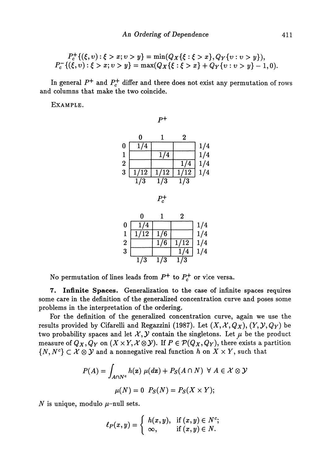$$
P_c^+\{( \xi,v):\xi>x;v>y\}=\min(Q_X\{ \xi:\xi>x\},Q_Y\{v:v>y\}),\\ P_c^-\{(\xi,v):\xi>x;v>y\}=\max(Q_X\{ \xi:\xi>x\}+Q_Y\{v:v>y\}-1,0).
$$

In general  $P^+$  and  $P_c^+$  differ and there does not exist any permutation of rows and columns that make the two coincide.

EXAMPLE.

 $P^+$ 

|                  |                  |      | 2                |                         |
|------------------|------------------|------|------------------|-------------------------|
| 0                | 174              |      |                  | 1/4                     |
|                  |                  | 1/4  |                  | $\overline{\mathbf{4}}$ |
| $\boldsymbol{2}$ |                  |      | 1/4              | $\overline{\mathbf{4}}$ |
| 3                | 1/12             | 1/12 | 1/12             | 4                       |
|                  | $\overline{1}/3$ | l/3  | $\overline{1}/3$ |                         |

 $P_c^+$ 

|                  | O                |     | 2                  |     |
|------------------|------------------|-----|--------------------|-----|
| $\bf{0}$         | 1/4              |     |                    | 1/4 |
| 1                | 1/12             | 1/6 |                    | 1/4 |
| $\boldsymbol{2}$ |                  | 1/6 | 1/12               | 1/4 |
| 3                |                  |     |                    | 1/4 |
|                  | $\overline{1/3}$ | 1/3 | $\bar{\text{I}}/3$ |     |

No permutation of lines leads from  $P^+$  to  $P_c^+$  or vice versa.

**7. Infinite Spaces.** Generalization to the case of infinite spaces requires some care in the definition of the generalized concentration curve and poses some problems in the interpretation of the ordering.

For the definition of the generalized concentration curve, again we use the results provided by Cifarelli and Regazzini (1987). Let  $(X, \mathcal{X}, Q_X)$ ,  $(Y, \mathcal{Y}, Q_Y)$  be two probability spaces and let  $X, Y$  contain the singletons. Let  $\mu$  be the product measure of  $Q_X, Q_Y$  on  $(X \times Y, X \otimes Y)$ . If  $P \in \mathcal{P}(Q_X, Q_Y)$ , there exists a partition  $\{N, N^c\} \subset \mathcal{X} \otimes \mathcal{Y}$  and a nonnegative real function h on  $X \times Y$ , such that

$$
P(A) = \int_{A \cap N^c} h(\mathbf{z}) \mu(d\mathbf{z}) + P_S(A \cap N) \ \forall \ A \in \mathcal{X} \otimes \mathcal{Y}
$$

$$
\mu(N) = 0 \ P_S(N) = P_S(X \times Y);
$$

*N* is unique, modulo  $\mu$ -null sets.

$$
\ell_P(x,y)=\left\{\begin{array}{ll}h(x,y),&\hbox{if}\ (x,y)\in N^c;\\ \infty,&\hbox{if}\ (x,y)\in N.\end{array}\right.
$$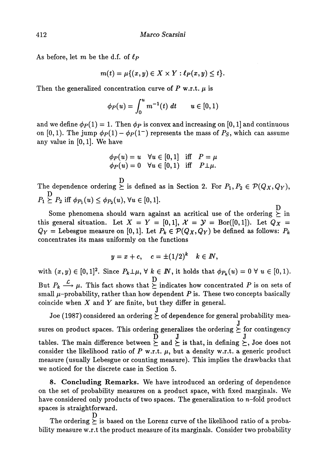As before, let *m* be the d.f. of *ίp*

$$
m(t) = \mu\{(x, y) \in X \times Y : \ell_P(x, y) \leq t\}.
$$

Then the generalized concentration curve of  $P$  w.r.t.  $\mu$  is

$$
\phi_P(u) = \int_0^u m^{-1}(t) \ dt \qquad u \in [0,1)
$$

and we define  $\phi_P(1) = 1$ . Then  $\phi_P$  is convex and increasing on [0, 1] and continuous on [0,1]. The jump  $\phi_P(1) - \phi_P(1^-)$  represents the mass of  $P_S$ , which can assume any value in [0,1]. We have

$$
\begin{array}{lll}\n\phi_P(u) = u & \forall u \in [0,1] & \text{iff} & P = \mu \\
\phi_P(u) = 0 & \forall u \in [0,1) & \text{iff} & P \perp \mu.\n\end{array}
$$

 $\overline{\mathbf{D}}$ The dependence ordering  $\succeq$  is defined as in Section 2. For  $P_1, P_2 \in \mathcal{P}(Q_X, Q_Y)$ , D  $P_1 \ge P_2$  iff  $\phi_{P_1}(u) \le \phi_{P_2}(u)$ ,  $\forall u \in [0,1].$ 

D . this general situation. Let  $X = Y = [0,1], X = Y = \text{Bor}([0,1]).$  Let  $Q_X =$ this general situation. Let  $X = I - [0,1], X = J = \text{Bor}([0,1])$ . Let  $\mathscr{C}_X =$ <br> $\mathscr{O}_Y = \text{Lebesgue measure on } [0,1]$ . Let  $P_t \in \mathcal{D}(\mathscr{O}_Y, \mathscr{O}_Y)$  be defined as follows:  $P_t$ *QY* = Lebesgue measure on [0,1]. Let *Pk* G *V(Qχ,Qγ)* be defined as follows: *Pk* concentrates its mass uniformly on the functions

$$
y = x + c, \quad c = \pm (1/2)^k \quad k \in I\!\!N,
$$

with  $(x, y) \in [0, 1]^2$ . Since  $P_k \perp \mu$ ,  $\forall k \in \mathbb{N}$ , it holds that  $\phi_{P_k}(u) = 0 \ \forall u \in [0, 1)$ .  $\mathcal{L}$ , **This fast shows that**  $\mathcal{L}$ :  $B_{\text{u}} \rightarrow \mu$ . This fact shows that  $\subseteq$  indicates how concentrated *P* is on sets of small  $\mu$ -probability, rather than how dependent *P* is. These two concepts basically coincide when *X* and *Y* are finite, but they differ in general. coincide when *X* and *I* are finite, but they differ in general.

Joe (1987) considered an ordering  $\sum_{n=1}^{\infty}$  of dependence for general probability mea ⊱  $\sum_{i=1}^n \sum_{i=1}^n \sum_{j=1}^n \sum_{j=1}^n \sum_{j=1}^n \sum_{j=1}^n \sum_{j=1}^n \sum_{j=1}^n \sum_{j=1}^n \sum_{j=1}^n \sum_{j=1}^n \sum_{j=1}^n \sum_{j=1}^n \sum_{j=1}^n \sum_{j=1}^n \sum_{j=1}^n \sum_{j=1}^n \sum_{j=1}^n \sum_{j=1}^n \sum_{j=1}^n \sum_{j=1}^n \sum_{j=1}^n \sum_{j=1}^n \sum_{j=1}^n \sum_{j$  $\ge$  and  $\ge$  is that, in defining  $\ge$ consider the likelihood ratio of  $P$  w.r.t.  $\mu$ , but a density w.r.t. a generic product measure (usually Lebesgue or counting measure). This implies the drawbacks that we noticed for the discrete case in Section 5.

8. Concluding Remarks. We have introduced an ordering of dependence on the set of probability measures on a product space, with fixed marginals. We have considered only products of two spaces. The generalization to  $n$ -fold product spaces is straightforward.

 $\begin{array}{ccc} \cdot & \circ & \circ & \circ \\ \hline \end{array}$  $\geq$ bility measure w.r.t the product measure of its marginals. Consider two probability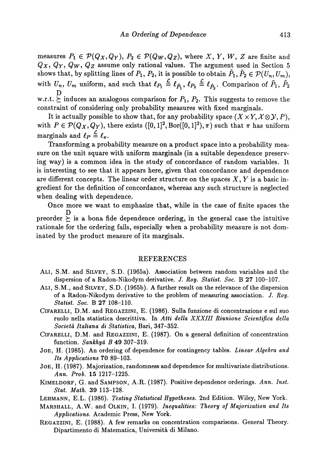measures  $P_1 \in \mathcal{P}(Q_X, Q_Y),\, P_2 \in \mathcal{P}(Q_W, Q_Z),$  where  $X,\, Y,\, W,\, Z$  are finite and *Qx*, *Qy*, *Q<sub>W</sub>*, *Q<sub>Z</sub>* assume only rational values. The argument used in Section 5 shows that, by splitting lines of  $P_1, P_2,$  it is possible to obtain  $\tilde{P}_1, \tilde{P}_2 \in \mathcal{P}(U_n, U_m),$ with  $U_n$ ,  $U_m$  uniform, and such that  $\ell_{P_1} \stackrel{\scriptscriptstyle\perp}{=} \ell_{\tilde{P_1}}$ ,  $\ell_{P_2} \stackrel{\scriptscriptstyle\perp}{=} \ell_{\tilde{P_2}}$ . Comparison of  $\tilde{P}_1$ ,  $\tilde{P}_2$  $\overline{\mathbf{D}}$ 

w.r.t.  $\succeq$  induces an analogous comparison for  $P_1, P_2$ . This suggests to remove the constraint of considering only probability measures with fixed marginals.

It is actually possible to show that, for any probability space  $(X \times Y, X \otimes Y, P)$ , with  $P \in \mathcal{P}(Q_X, Q_Y)$ , there exists  $([0, 1]^2, B$ or $([0, 1]^2), \pi$ ) such that  $\pi$  has uniform marginals and  $\ell_P \stackrel{\mathcal{L}}{=} \ell_{\pi}$ .

Transforming a probability measure on a product space into a probability mea sure on the unit square with uniform marginals (in a suitable dependence preserv ing way) is a common idea in the study of concordance of random variables. It is interesting to see that it appears here, given that concordance and dependence are different concepts. The linear order structure on the spaces X, *Y* is a basic in gredient for the definition of concordance, whereas any such structure is neglected when dealing with dependence.

Once more we want to emphasize that, while in the case of finite spaces the D preorder  $\succeq$  is a bona fide dependence ordering, in the general case the intuitive rationale for the ordering fails, especially when a probability measure is not dom inated by the product measure of its marginals.

## REFERENCES

- ALI, S.M. and SILVEY, S.D. (1965a). Association between random variables and the dispersion of a Radon-Nikodym derivative. *J. Roy. Statist. Soc.* B 27 100-107.
- ALI, S.M., and SILVEY, S.D. (1965b). A further result on the relevance of the dispersion of a Radon-Nikodym derivative to the problem of measuring association. /. *Roy. Statist. Soc.* B 27 108-110.
- CIFARELLI, D.M. and REGAZZINI, E. (1986). Sulla funzione di concentrazione e sul suo ruolo nella statistica descrittiva. In *Atti della XXXIII Riunione Scientifica della Societά Italiana di Statistica,* Bari, 347-352.
- CIFARELLI, D.M. and REGAZZINI, E. (1987). On a general definition of concentration function. *Sankhyά B* 49 307-319.
- JOE, H. (1985). An ordering of dependence for contingency tables. *Linear Algebra and Its Applications* 70 89-103.
- JOE, H. (1987). Majorization, randomness and dependence for multivariate distributions. *Ann. Prob.* 15 1217-1225.
- KIMELDORF, G. and SAMPSON, A.R. (1987). Positive dependence orderings. *Ann. Inst. Stat. Math.* 39 113-128.
- LEHMANN, E.L. (1986). *Testing Statistical Hypotheses.* 2nd Edition. Wiley, New York.
- MARSHALL, A.W. and OLKIN, I. (1979). *Inequalities: Theory of Majorization and Its Applications.* Academic Press, New York.
- REGAZZINI, E. (1988). A few remarks on concentration comparisons. General Theory. Dipartimento di Matematica, Universita di Milano.